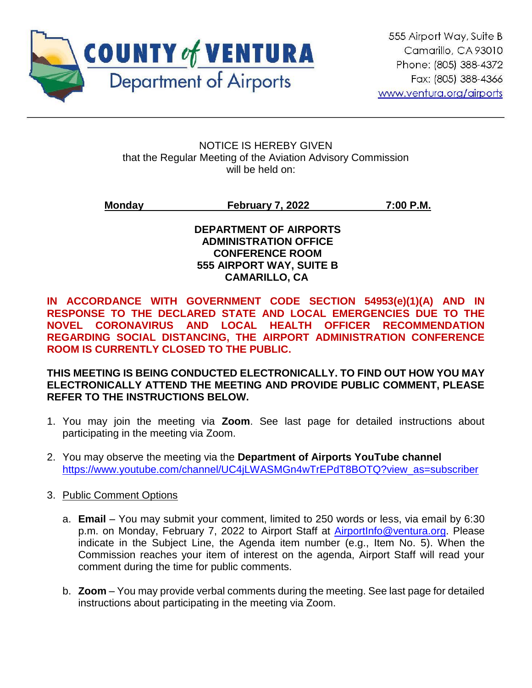

ֺ

NOTICE IS HEREBY GIVEN that the Regular Meeting of the Aviation Advisory Commission will be held on:

**Monday February 7, 2022 7:00 P.M.**

**DEPARTMENT OF AIRPORTS ADMINISTRATION OFFICE CONFERENCE ROOM 555 AIRPORT WAY, SUITE B CAMARILLO, CA**

**IN ACCORDANCE WITH GOVERNMENT CODE SECTION 54953(e)(1)(A) AND IN RESPONSE TO THE DECLARED STATE AND LOCAL EMERGENCIES DUE TO THE NOVEL CORONAVIRUS AND LOCAL HEALTH OFFICER RECOMMENDATION REGARDING SOCIAL DISTANCING, THE AIRPORT ADMINISTRATION CONFERENCE ROOM IS CURRENTLY CLOSED TO THE PUBLIC.** 

**THIS MEETING IS BEING CONDUCTED ELECTRONICALLY. TO FIND OUT HOW YOU MAY ELECTRONICALLY ATTEND THE MEETING AND PROVIDE PUBLIC COMMENT, PLEASE REFER TO THE INSTRUCTIONS BELOW.** 

- 1. You may join the meeting via **Zoom**. See last page for detailed instructions about participating in the meeting via Zoom.
- 2. You may observe the meeting via the **Department of Airports YouTube channel** https://www.youtube.com/channel/UC4iLWASMGn4wTrEPdT8BOTQ?view\_as=subscriber
- 3. Public Comment Options
	- a. **Email** You may submit your comment, limited to 250 words or less, via email by 6:30 p.m. on Monday, February 7, 2022 to Airport Staff at [AirportInfo@ventura.org.](mailto:AirportInfo@ventura.org) Please indicate in the Subject Line, the Agenda item number (e.g., Item No. 5). When the Commission reaches your item of interest on the agenda, Airport Staff will read your comment during the time for public comments.
	- b. **Zoom** You may provide verbal comments during the meeting. See last page for detailed instructions about participating in the meeting via Zoom.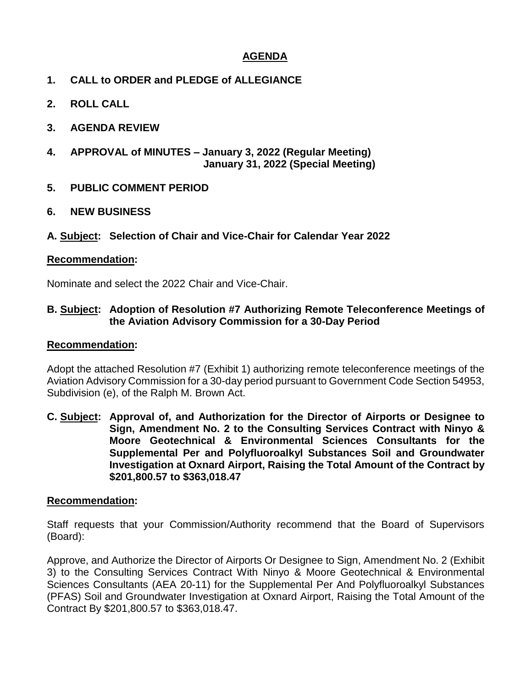### **AGENDA**

- **1. CALL to ORDER and PLEDGE of ALLEGIANCE**
- **2. ROLL CALL**
- **3. AGENDA REVIEW**
- **4. APPROVAL of MINUTES – January 3, 2022 (Regular Meeting) January 31, 2022 (Special Meeting)**
- **5. PUBLIC COMMENT PERIOD**
- **6. NEW BUSINESS**
- **A. Subject: Selection of Chair and Vice-Chair for Calendar Year 2022**

#### **Recommendation:**

Nominate and select the 2022 Chair and Vice-Chair.

### **B. Subject: Adoption of Resolution #7 Authorizing Remote Teleconference Meetings of the Aviation Advisory Commission for a 30-Day Period**

#### **Recommendation:**

Adopt the attached Resolution #7 (Exhibit 1) authorizing remote teleconference meetings of the Aviation Advisory Commission for a 30-day period pursuant to Government Code Section 54953, Subdivision (e), of the Ralph M. Brown Act.

**C. Subject: Approval of, and Authorization for the Director of Airports or Designee to Sign, Amendment No. 2 to the Consulting Services Contract with Ninyo & Moore Geotechnical & Environmental Sciences Consultants for the Supplemental Per and Polyfluoroalkyl Substances Soil and Groundwater Investigation at Oxnard Airport, Raising the Total Amount of the Contract by \$201,800.57 to \$363,018.47**

#### **Recommendation:**

Staff requests that your Commission/Authority recommend that the Board of Supervisors (Board):

Approve, and Authorize the Director of Airports Or Designee to Sign, Amendment No. 2 (Exhibit 3) to the Consulting Services Contract With Ninyo & Moore Geotechnical & Environmental Sciences Consultants (AEA 20-11) for the Supplemental Per And Polyfluoroalkyl Substances (PFAS) Soil and Groundwater Investigation at Oxnard Airport, Raising the Total Amount of the Contract By \$201,800.57 to \$363,018.47.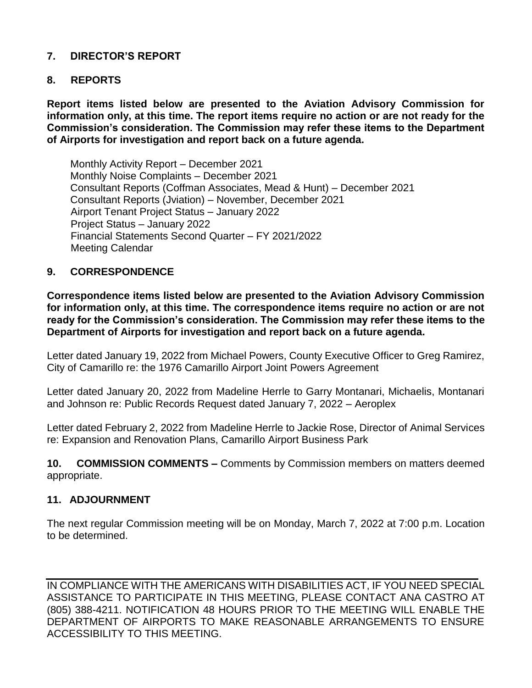## **7. DIRECTOR'S REPORT**

#### **8. REPORTS**

**Report items listed below are presented to the Aviation Advisory Commission for information only, at this time. The report items require no action or are not ready for the Commission's consideration. The Commission may refer these items to the Department of Airports for investigation and report back on a future agenda.** 

Monthly Activity Report – December 2021 Monthly Noise Complaints – December 2021 Consultant Reports (Coffman Associates, Mead & Hunt) – December 2021 Consultant Reports (Jviation) – November, December 2021 Airport Tenant Project Status – January 2022 Project Status – January 2022 Financial Statements Second Quarter – FY 2021/2022 Meeting Calendar

#### **9. CORRESPONDENCE**

**Correspondence items listed below are presented to the Aviation Advisory Commission for information only, at this time. The correspondence items require no action or are not ready for the Commission's consideration. The Commission may refer these items to the Department of Airports for investigation and report back on a future agenda.** 

Letter dated January 19, 2022 from Michael Powers, County Executive Officer to Greg Ramirez, City of Camarillo re: the 1976 Camarillo Airport Joint Powers Agreement

Letter dated January 20, 2022 from Madeline Herrle to Garry Montanari, Michaelis, Montanari and Johnson re: Public Records Request dated January 7, 2022 – Aeroplex

Letter dated February 2, 2022 from Madeline Herrle to Jackie Rose, Director of Animal Services re: Expansion and Renovation Plans, Camarillo Airport Business Park

**10. COMMISSION COMMENTS –** Comments by Commission members on matters deemed appropriate.

#### **11. ADJOURNMENT**

The next regular Commission meeting will be on Monday, March 7, 2022 at 7:00 p.m. Location to be determined.

IN COMPLIANCE WITH THE AMERICANS WITH DISABILITIES ACT, IF YOU NEED SPECIAL ASSISTANCE TO PARTICIPATE IN THIS MEETING, PLEASE CONTACT ANA CASTRO AT (805) 388-4211. NOTIFICATION 48 HOURS PRIOR TO THE MEETING WILL ENABLE THE DEPARTMENT OF AIRPORTS TO MAKE REASONABLE ARRANGEMENTS TO ENSURE ACCESSIBILITY TO THIS MEETING.